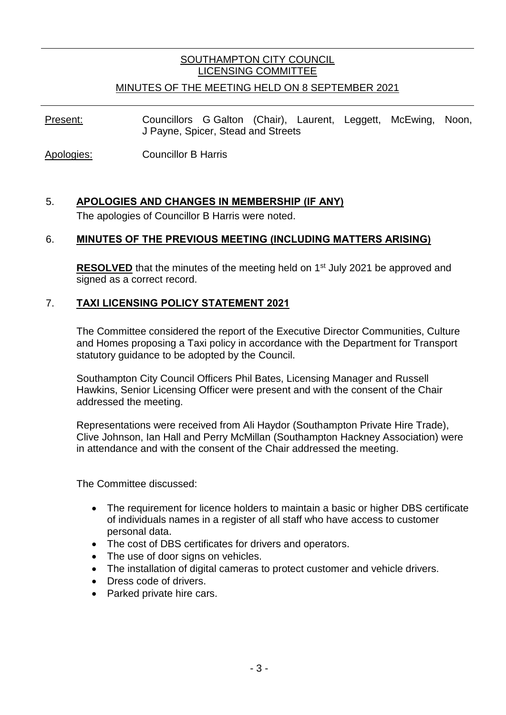# SOUTHAMPTON CITY COUNCIL LICENSING COMMITTEE

## MINUTES OF THE MEETING HELD ON 8 SEPTEMBER 2021

Present: Councillors G Galton (Chair), Laurent, Leggett, McEwing, Noon, J Payne, Spicer, Stead and Streets

Apologies: Councillor B Harris

## 5. **APOLOGIES AND CHANGES IN MEMBERSHIP (IF ANY)** The apologies of Councillor B Harris were noted.

#### 6. **MINUTES OF THE PREVIOUS MEETING (INCLUDING MATTERS ARISING)**

**RESOLVED** that the minutes of the meeting held on 1<sup>st</sup> July 2021 be approved and signed as a correct record.

## 7. **TAXI LICENSING POLICY STATEMENT 2021**

The Committee considered the report of the Executive Director Communities, Culture and Homes proposing a Taxi policy in accordance with the Department for Transport statutory guidance to be adopted by the Council.

Southampton City Council Officers Phil Bates, Licensing Manager and Russell Hawkins, Senior Licensing Officer were present and with the consent of the Chair addressed the meeting.

Representations were received from Ali Haydor (Southampton Private Hire Trade), Clive Johnson, Ian Hall and Perry McMillan (Southampton Hackney Association) were in attendance and with the consent of the Chair addressed the meeting.

The Committee discussed:

- The requirement for licence holders to maintain a basic or higher DBS certificate of individuals names in a register of all staff who have access to customer personal data.
- The cost of DBS certificates for drivers and operators.
- The use of door signs on vehicles.
- The installation of digital cameras to protect customer and vehicle drivers.
- Dress code of drivers.
- Parked private hire cars.